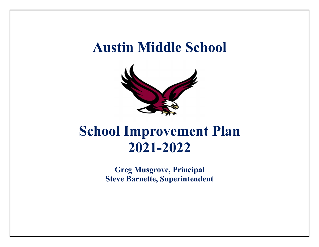# Austin Middle School



# School Improvement Plan 2021-2022

Greg Musgrove, Principal Steve Barnette, Superintendent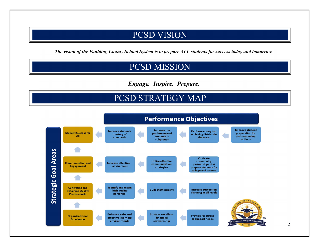## PCSD VISION

The vision of the Paulding County School System is to prepare ALL students for success today and tomorrow.

## PCSD MISSION

Engage. Inspire. Prepare.

# PCSD STRATEGY MAP

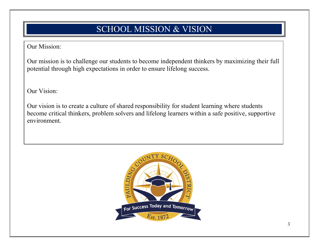# SCHOOL MISSION & VISION

### Our Mission:

Our mission is to challenge our students to become independent thinkers by maximizing their full potential through high expectations in order to ensure lifelong success.

Our Vision:

Our vision is to create a culture of shared responsibility for student learning where students become critical thinkers, problem solvers and lifelong learners within a safe positive, supportive environment.

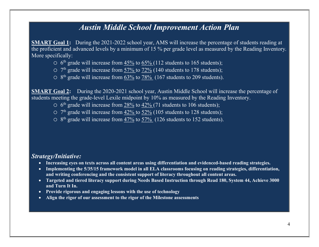## Austin Middle School Improvement Action Plan

SMART Goal 1: During the 2021-2022 school year, AMS will increase the percentage of students reading at the proficient and advanced levels by a minimum of 15 % per grade level as measured by the Reading Inventory. More specifically:

- $\circ$  6<sup>th</sup> grade will increase from  $\frac{45\%}{65\%}$  to  $\frac{65\%}{112}$  students to 165 students);
- $\circ$  7<sup>th</sup> grade will increase from  $\frac{57\%}{2}$  to  $\frac{72\%}{2}$  (140 students to 178 students);
- $\circ$  8<sup>th</sup> grade will increase from  $\underline{63\%}$  to  $\underline{78\%}$  (167 students to 209 students).

SMART Goal 2: During the 2020-2021 school year, Austin Middle School will increase the percentage of students meeting the grade-level Lexile midpoint by 10% as measured by the Reading Inventory.

- $\circ$  6<sup>th</sup> grade will increase from  $\frac{28\%}{28.0}$  to  $\frac{42\%}{71}$  students to 106 students);
- $\circ$  7<sup>th</sup> grade will increase from  $42\%$  to  $52\%$  (105 students to 128 students);
- $\circ$  8<sup>th</sup> grade will increase from  $\frac{47\%}{2}$  to  $\frac{57\%}{2}$  (126 students to 152 students).

#### Strategy/Initiative:

- Increasing eyes on texts across all content areas using differentiation and evidenced-based reading strategies.
- Implementing the 5/35/15 framework model in all ELA classrooms focusing on reading strategies, differentiation, and writing conferencing and the consistent support of literacy throughout all content areas.
- Targeted and tiered literacy support during Needs Based Instruction through Read 180, System 44, Achieve 3000 and Turn It In.
- Provide rigorous and engaging lessons with the use of technology
- Align the rigor of our assessment to the rigor of the Milestone assessments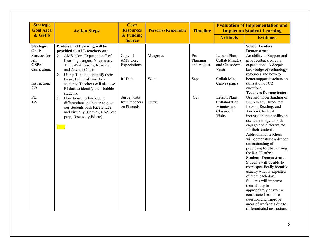| <b>Strategic</b><br><b>Goal Area</b>                                                 | <b>Action Steps</b>                                                                                                                                                                                                                                                                                                                      | Cost/<br><b>Resources</b>                              | <b>Person(s) Responsible</b> | <b>Timeline</b>                |                                                                                                     | <b>Evaluation of Implementation and</b><br><b>Impact on Student Learning</b>                                                                                                                                                                                                                                                                                                                                                                                                                                                                             |
|--------------------------------------------------------------------------------------|------------------------------------------------------------------------------------------------------------------------------------------------------------------------------------------------------------------------------------------------------------------------------------------------------------------------------------------|--------------------------------------------------------|------------------------------|--------------------------------|-----------------------------------------------------------------------------------------------------|----------------------------------------------------------------------------------------------------------------------------------------------------------------------------------------------------------------------------------------------------------------------------------------------------------------------------------------------------------------------------------------------------------------------------------------------------------------------------------------------------------------------------------------------------------|
| & GSPS                                                                               |                                                                                                                                                                                                                                                                                                                                          | & Funding<br><b>Source</b>                             |                              |                                | <b>Artifacts</b>                                                                                    | <b>Evidence</b>                                                                                                                                                                                                                                                                                                                                                                                                                                                                                                                                          |
| <b>Strategic</b><br>Goal:<br><b>Success for</b><br>All<br><b>GSPS</b><br>Curriculum: | Professional Learning will be<br>provided to ALL teachers on:<br>AMS "Core Expectations" of:<br>♦<br>Learning Targets, Vocabulary,<br>Three-Part lessons, Reading,<br>and Anchor Charts                                                                                                                                                  | Copy of<br>AMS Core<br>Expectations                    | Musgrove                     | Pre-<br>Planning<br>and August | Lesson Plans,<br>Collab Minutes<br>and Classroom<br><b>Visits</b>                                   | <b>School Leaders</b><br>Demonstrate:<br>An ability to Support and<br>give feedback on core<br>expectations. A deeper<br>knowledge of technology                                                                                                                                                                                                                                                                                                                                                                                                         |
| Instruction:<br>$2 - 9$<br>PL:<br>$1-5$                                              | ♦<br>Using RI data to identify their<br>Basic, BB, Prof, and Adv<br>students. Teachers will also use<br>RI data to identify their bubble<br>students.<br>How to use technology to<br>♦<br>differentiate and better engage<br>our students both Face 2 face<br>and virtually (Canvas, USATest<br>prep, Discovery Ed etc).<br>$\lozenge$ . | RI Data<br>Survey data<br>from teachers<br>on Pl needs | Wood<br>Curtis               | Sept<br>Oct                    | Collab Min,<br>Canvas pages<br>Lesson Plans,<br>Collaboration<br>Minutes and<br>Classroom<br>Visits | resources and how-to<br>better support teachers on<br>utilization of CR<br>questions.<br><b>Teachers Demonstrate:</b><br>Use and understanding of<br>LT, Vocab, Three-Part<br>Lesson, Reading, and<br>Anchor Charts. An<br>increase in their ability to<br>use technology to both<br>engage and differentiate<br>for their students.<br>Additionally, teachers<br>will demonstrate a deeper<br>understanding of<br>providing feedback using<br>the RACE rubric<br><b>Students Demonstrate:</b><br>Students will be able to<br>more specifically identify |
|                                                                                      |                                                                                                                                                                                                                                                                                                                                          |                                                        |                              |                                |                                                                                                     | exactly what is expected<br>of them each day.<br>Students will improve<br>their ability to<br>appropriately answer a<br>constructed response<br>question and improve<br>areas of weakness due to<br>differentiated instruction.                                                                                                                                                                                                                                                                                                                          |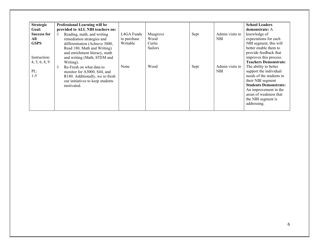| <b>Strategic</b><br>Goal:                                | Professional Learning will be<br>provided to ALL NBI teachers on:                                                                                                                                       |                                       |                                       |      |                               | <b>School Leaders</b><br>demonstrate: A                                                                                                                                                                                  |
|----------------------------------------------------------|---------------------------------------------------------------------------------------------------------------------------------------------------------------------------------------------------------|---------------------------------------|---------------------------------------|------|-------------------------------|--------------------------------------------------------------------------------------------------------------------------------------------------------------------------------------------------------------------------|
| <b>Success for</b><br>All<br><b>GSPS</b><br>Instruction: | $\Diamond$<br>Reading, math, and writing<br>remediation strategies and<br>differentiation (Achieve 3000,<br>Read 180, Math and Writing)<br>and enrichment literacy, math<br>and writing (Math, STEM and | L4GA Funds<br>to purchase<br>Writable | Musgrove<br>Wood<br>Curtis<br>Sailors | Sept | Admin visits to<br>NBI.       | knowledge of<br>expectations for each<br>NBI segment, this will<br>better enable them to<br>provide feedback that<br>improves this process.<br><b>Teachers Demonstrate:</b>                                              |
| 4, 5, 6, 8, 9<br>PL:<br>$1 - 5$                          | Writing).<br>♦<br>Re-Fresh on what data to<br>monitor for A3000, S44, and<br>R180. Additionally, we re-fresh<br>our initiatives to keep students<br>motivated.                                          | None                                  | Wood                                  | Sept | Admin visits to<br><b>NBI</b> | The ability to better<br>support the individual<br>needs of the students in<br>their NBI segment<br><b>Students Demonstrate:</b><br>An improvement in the<br>areas of weakness that<br>the NBI segment is<br>addressing. |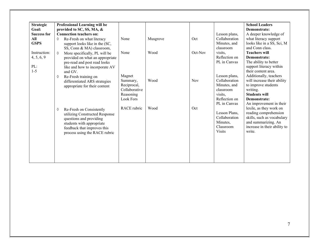| <b>Strategic</b><br>Goal: | Professional Learning will be<br>provided to SC, SS, MA, & |                    |          |            |                                | <b>School Leaders</b><br>Demonstrate:                 |
|---------------------------|------------------------------------------------------------|--------------------|----------|------------|--------------------------------|-------------------------------------------------------|
| <b>Success for</b>        | <b>Connection teachers on:</b>                             |                    |          |            | Lesson plans,                  | A deeper knowledge of                                 |
| All                       | ♦<br>Re-Fresh on what literacy                             | None               | Musgrove | Oct        | Collaboration                  | what literacy support                                 |
| <b>GSPS</b>               | support looks like in the (SC,                             |                    |          |            | Minutes, and                   | looks like in a SS, Sci, M                            |
|                           | SS, Conn & MA) classroom,                                  |                    |          |            | classroom                      | and Conn class.                                       |
| Instruction:              | More specifically, PL will be<br>$\Diamond$                | None               | Wood     | Oct-Nov    | visits,                        | <b>Teachers will</b>                                  |
| 4, 5, 6, 9                | provided on what an appropriate                            |                    |          |            | Reflection on                  | Demonstrate:                                          |
|                           | pre-read and post read looks                               |                    |          |            | PL in Canvas                   | The ability to better                                 |
| PL:                       | like and how to incorporate AV                             |                    |          |            |                                | support literacy within                               |
| $1 - 5$                   | and GV.                                                    |                    |          |            |                                | their content area.                                   |
|                           | Re-Fresh training on<br>♦                                  | Magnet<br>Summary, | Wood     | <b>Nov</b> | Lesson plans,<br>Collaboration | Additionally, teachers<br>will increase their ability |
|                           | differentiated ARS strategies                              | Reciprocal,        |          |            | Minutes, and                   | to improve students                                   |
|                           | appropriate for their content                              | Collaborative      |          |            | classroom                      | writing.                                              |
|                           |                                                            | Reasoning          |          |            | visits,                        | <b>Students will</b>                                  |
|                           |                                                            | <b>Look Fors</b>   |          |            | Reflection on                  | Demonstrate:                                          |
|                           |                                                            |                    |          |            | PL in Canvas                   | An improvement in their                               |
|                           | Re-Fresh on Consistently<br>♦                              | RACE rubric        | Wood     | Oct        |                                | lexile, as they work on                               |
|                           | utilizing Constructed Response                             |                    |          |            | Lesson Plans,                  | reading comprehension                                 |
|                           | questions and providing                                    |                    |          |            | Collaboration                  | skills, such as vocabulary                            |
|                           | students with appropriate                                  |                    |          |            | Minutes,                       | and summarizing. An                                   |
|                           | feedback that improves this                                |                    |          |            | Classroom<br><b>Visits</b>     | increase in their ability to<br>write.                |
|                           | process using the RACE rubric                              |                    |          |            |                                |                                                       |
|                           |                                                            |                    |          |            |                                |                                                       |
|                           |                                                            |                    |          |            |                                |                                                       |
|                           |                                                            |                    |          |            |                                |                                                       |
|                           |                                                            |                    |          |            |                                |                                                       |
|                           |                                                            |                    |          |            |                                |                                                       |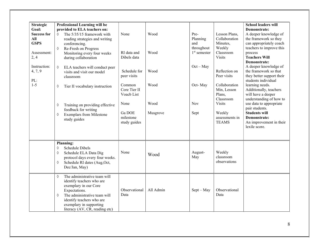| <b>Strategic</b><br>Goal:<br><b>Success for</b><br>All<br><b>GSPS</b><br>Assessment:<br>2, 4<br>Instruction:<br>4, 7, 9<br>PL:<br>$1-5$ | Professional Learning will be<br>provided to ELA teachers on:<br>The 5/35/15 framework with<br>♦<br>reading strategies and writing<br>conferencing.<br>Re-Fresh on Progress<br>♦<br>Monitoring every four weeks<br>during collaboration<br>ELA teachers will conduct peer<br>♦<br>visits and visit our model<br>classroom<br>Tier II vocabulary instruction<br>♦<br>Training on providing effective<br>♦<br>feedback for writing<br><b>Exemplars from Milestone</b><br>♦<br>study guides | None<br>RI data and<br>Dibels data<br>Schedule for<br>peer visits<br>Common<br>Core Tier II<br>Voacb List<br>None<br>Ga DOE<br>milestone<br>study guides | Wood<br>Wood<br>Wood<br>Wood<br>Wood<br>Musgrove | Pre-<br>Planning<br>and<br>throughout<br>$1st$ semester<br>$Oct - May$<br>Oct-May<br><b>Nov</b><br>Sept | Lesson Plans,<br>Collaboration<br>Minutes,<br>Weekly<br>Classroom<br><b>Visits</b><br>Reflection on<br>Peer visits<br>Collaboration<br>Min, Lesson<br>Plans,<br>Classroom<br><b>Visits</b><br>Weekly<br>assessments in<br><b>TEAMS</b> | <b>School leaders will</b><br>Demonstrate:<br>A deeper knowledge of<br>the framework so they<br>can appropriately coach<br>teachers to improve this<br>process<br><b>Teachers Will</b><br>Demonstrate:<br>A deeper knowledge of<br>the framework so that<br>they better support their<br>students individual<br>learning needs.<br>Additionally, teachers<br>will have a deeper<br>understanding of how to<br>use data to appropriate<br>pair students.<br><b>Students will</b><br>Demonstrate:<br>An improvement in their<br>lexile score. |
|-----------------------------------------------------------------------------------------------------------------------------------------|------------------------------------------------------------------------------------------------------------------------------------------------------------------------------------------------------------------------------------------------------------------------------------------------------------------------------------------------------------------------------------------------------------------------------------------------------------------------------------------|----------------------------------------------------------------------------------------------------------------------------------------------------------|--------------------------------------------------|---------------------------------------------------------------------------------------------------------|----------------------------------------------------------------------------------------------------------------------------------------------------------------------------------------------------------------------------------------|---------------------------------------------------------------------------------------------------------------------------------------------------------------------------------------------------------------------------------------------------------------------------------------------------------------------------------------------------------------------------------------------------------------------------------------------------------------------------------------------------------------------------------------------|
|                                                                                                                                         | <b>Planning:</b><br>Schedule Dibels<br>♦<br>Schedule ELA Data Dig<br>$\Diamond$<br>protocol days every four weeks.<br>Schedule RI dates (Aug, Oct,<br>♦<br>Dec/Jan, May)                                                                                                                                                                                                                                                                                                                 | None                                                                                                                                                     | Wood                                             | August-<br>May                                                                                          | Weekly<br>classroom<br>observations                                                                                                                                                                                                    |                                                                                                                                                                                                                                                                                                                                                                                                                                                                                                                                             |
|                                                                                                                                         | The administrative team will<br>$\Diamond$<br>identify teachers who are<br>exemplary in our Core<br>Expectations.<br>The administrative team will<br>♦<br>identify teachers who are<br>exemplary in supporting<br>literacy (AV, CR, reading etc)                                                                                                                                                                                                                                         | Observational<br>Data                                                                                                                                    | All Admin                                        | $Sept - May$                                                                                            | Observational<br>Data                                                                                                                                                                                                                  |                                                                                                                                                                                                                                                                                                                                                                                                                                                                                                                                             |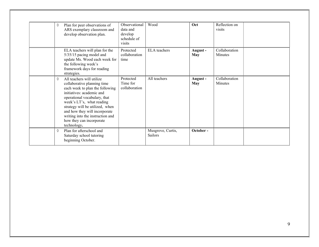| ♦ | Plan for peer observations of<br>ARS exemplary classroom and<br>develop observation plan.                                                                                                                                                                                                                                                | Observational<br>data and<br>develop<br>schedule of<br>visits | Wood                         | Oct                    | Reflection on<br>visits         |
|---|------------------------------------------------------------------------------------------------------------------------------------------------------------------------------------------------------------------------------------------------------------------------------------------------------------------------------------------|---------------------------------------------------------------|------------------------------|------------------------|---------------------------------|
|   | ELA teachers will plan for the<br>5/35/15 pacing model and<br>update Ms. Wood each week for<br>the following week's<br>framework days for reading<br>strategies.                                                                                                                                                                         | Protected<br>collaboration<br>time                            | <b>ELA</b> teachers          | August -<br><b>May</b> | Collaboration<br><b>Minutes</b> |
| ♦ | All teachers will utilize<br>collaborative planning time<br>each week to plan the following<br>initiatives: academic and<br>operational vocabulary, that<br>week's LT's, what reading<br>strategy will be utilized, when<br>and how they will incorporate<br>writing into the instruction and<br>how they can incorporate<br>technology. | Protected<br>Time for<br>collaboration                        | All teachers                 | August -<br>May        | Collaboration<br><b>Minutes</b> |
| ♦ | Plan for afterschool and<br>Saturday school tutoring<br>beginning October.                                                                                                                                                                                                                                                               |                                                               | Musgrove, Curtis,<br>Sailors | October-               |                                 |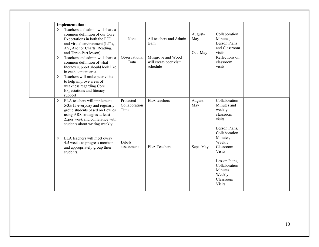|            | <b>Implementation:</b>                                                                                                                                                                                                         |                                    |                                                     |                           |                                                                                               |
|------------|--------------------------------------------------------------------------------------------------------------------------------------------------------------------------------------------------------------------------------|------------------------------------|-----------------------------------------------------|---------------------------|-----------------------------------------------------------------------------------------------|
| $\Diamond$ | Teachers and admin will share a<br>common definition of our Core<br>Expectations in both the F2F<br>and virtual environment (LT's,<br>AV, Anchor Charts, Reading,<br>and Three-Part lesson)<br>Teachers and admin will share a | None<br>Observational              | All teachers and Admin<br>team<br>Musgrove and Wood | August-<br>May<br>Oct-May | Collaboration<br>Minutes,<br><b>Lesson Plans</b><br>and Classroom<br>visits<br>Reflections on |
| ♦          | common definition of what<br>literacy support should look like<br>in each content area.                                                                                                                                        | Data                               | will create peer visit<br>schedule                  |                           | classroom<br>visits                                                                           |
| ♦          | Teachers will make peer visits<br>to help improve areas of<br>weakness regarding Core<br>Expectations and literacy<br>support                                                                                                  |                                    |                                                     |                           |                                                                                               |
| ♦          | ELA teachers will implement<br>5/35/15 everyday and regularly<br>group students based on Lexiles<br>using ARS strategies at least<br>2xper week and conference with<br>students about writing weekly.                          | Protected<br>Collaboration<br>Time | <b>ELA</b> teachers                                 | $August -$<br>May         | Collaboration<br>Minutes and<br>weekly<br>classroom<br>visits                                 |
| ♦          | ELA teachers will meet every<br>4.5 weeks to progress monitor<br>and appropriately group their<br>students.                                                                                                                    | Dibels<br>assessment               | <b>ELA Teachers</b>                                 | Sept-May                  | Lesson Plans,<br>Collaboration<br>Minutes,<br>Weekly<br>Classroom<br><b>Visits</b>            |
|            |                                                                                                                                                                                                                                |                                    |                                                     |                           | Lesson Plans,<br>Collaboration<br>Minutes,<br>Weekly<br>Classroom<br><b>Visits</b>            |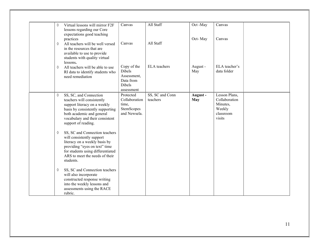| Virtual lessons will mirror F2F<br>♦<br>lessons regarding our Core<br>expectations good teaching                                                                                                                       | Canvas                                                                                  | All Staff                   | Oct-May               | Canvas                                                                      |  |
|------------------------------------------------------------------------------------------------------------------------------------------------------------------------------------------------------------------------|-----------------------------------------------------------------------------------------|-----------------------------|-----------------------|-----------------------------------------------------------------------------|--|
| practices<br>All teachers will be well versed<br>♦<br>in the resources that are<br>available to use to provide<br>students with quality virtual<br>lessons.                                                            | Canvas                                                                                  | All Staff                   | Oct-May               | Canvas                                                                      |  |
| All teachers will be able to use<br>♦<br>RI data to identify students who<br>need remediation                                                                                                                          | Copy of the<br><b>Dibels</b><br>Assessment,<br>Data from<br><b>Dibels</b><br>assessment | <b>ELA</b> teachers         | August -<br>May       | ELA teacher's<br>data folder                                                |  |
| SS, SC, and Connection<br>♦<br>teachers will consistently<br>support literacy on a weekly<br>basis by consistently supporting<br>both academic and general<br>vocabulary and their consistent<br>support of reading.   | Protected<br>Collaboration<br>time,<br>StemScopes<br>and Newsela.                       | SS, SC and Conn<br>teachers | August-<br><b>May</b> | Lesson Plans,<br>Collaboration<br>Minutes,<br>Weekly<br>classroom<br>visits |  |
| SS, SC and Connection teachers<br>♦<br>will consistently support<br>literacy on a weekly basis by<br>providing "eyes on text" time<br>for students using differentiated<br>ARS to meet the needs of their<br>students. |                                                                                         |                             |                       |                                                                             |  |
| SS, SC and Connection teachers<br>♦<br>will also incorporate<br>constructed response writing<br>into the weekly lessons and<br>assessments using the RACE<br>rubric.                                                   |                                                                                         |                             |                       |                                                                             |  |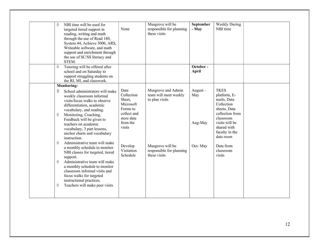| NBI time will be used for<br>♦<br>targeted tiered support in<br>reading, writing and math<br>through the use of Read 180,<br>System 44, Achieve 3000, ARS,<br>Writeable software, and math<br>support and enrichment through<br>the use of SC/SS literacy and<br>STEM.<br>Tutoring will be offered after<br>♦<br>school and on Saturday to<br>support struggling students on<br>the RI, MI, and classwork. | None                                                                                                     | Musgrove will be<br>responsible for planning<br>these visits  | September<br>- May<br>October -<br>April | <b>Weekly During</b><br>NBI time                                                                                                                                         |
|------------------------------------------------------------------------------------------------------------------------------------------------------------------------------------------------------------------------------------------------------------------------------------------------------------------------------------------------------------------------------------------------------------|----------------------------------------------------------------------------------------------------------|---------------------------------------------------------------|------------------------------------------|--------------------------------------------------------------------------------------------------------------------------------------------------------------------------|
| <b>Monitoring:</b>                                                                                                                                                                                                                                                                                                                                                                                         |                                                                                                          |                                                               |                                          |                                                                                                                                                                          |
| School administrators will make<br>♦<br>weekly classroom informal<br>visits/focus walks to observe<br>differentiation, academic<br>vocabulary, and reading.<br>Monitoring, Coaching,<br>♦<br>Feedback will be given to<br>teachers on academic<br>vocabulary, 3 part lessons,<br>anchor charts and vocabulary<br>instruction.                                                                              | Data<br>Collection<br>Sheet,<br>Microsoft<br>Forms to<br>collect and<br>store data<br>from the<br>visits | Musgrove and Admin<br>team will meet weekly<br>to plan visits | $August -$<br>May<br>Aug-May             | <b>TKES</b><br>platform, E-<br>mails, Data<br>Collection<br>sheets, Data<br>collection from<br>classroom<br>visits will be<br>shared with<br>faculty in the<br>data room |
| Administrative team will make<br>♦<br>a monthly schedule to monitor<br>NBI classes for targeted, tiered<br>support.<br>Administrative team will make<br>♦<br>a monthly schedule to monitor<br>classroom informal visits and<br>focus walks for targeted<br>instructional practices.<br>Teachers will make peer visits<br>♦                                                                                 | Develop<br>Visitation<br>Schedule                                                                        | Musgrove will be<br>responsible for planning<br>these visits  | Oct-May                                  | Data from<br>classroom<br>visits                                                                                                                                         |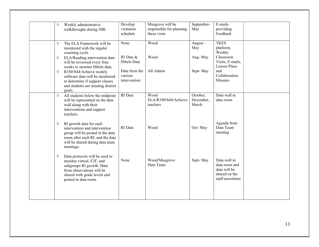| Weekly administrative<br>♦<br>walkthroughs during NBI.                                                                                                                                | Develop<br>visitation<br>schedule        | Musgrove will be<br>responsible for planning<br>these visits | September-<br>May              | E-mails<br>providing<br>Feedback                                                   |
|---------------------------------------------------------------------------------------------------------------------------------------------------------------------------------------|------------------------------------------|--------------------------------------------------------------|--------------------------------|------------------------------------------------------------------------------------|
| The ELA Framework will be<br>♦<br>monitored with the regular<br>coaching cycle.                                                                                                       | None                                     | Wood                                                         | August $-$<br>May              | <b>TKES</b><br>platform,<br>Weekly                                                 |
| ELA/Reading intervention data<br>♦<br>will be reviewed every four<br>weeks to monitor Dibels data.                                                                                    | RI Data &<br>Dibels Data                 | Wood                                                         | Aug-May                        | Classroom<br>Visits, E-mails,<br><b>Lesson Plans</b>                               |
| R180/S44/Achieve weekly<br>♦<br>software data will be monitored<br>to determine if support classes<br>and students are meeting district<br>goals.                                     | Data from the<br>various<br>intervention | All Admin                                                    | Sept-May                       | and<br>Collaboration<br>Minutes                                                    |
| ♦<br>All students below the midpoint<br>will be represented on the data<br>wall along with their<br>interventions and support<br>teachers.                                            | RI Data                                  | Wood<br>ELA/R180/S44/Achieve<br>teachers                     | October,<br>December,<br>March | Data wall in<br>data room                                                          |
| RI growth data for each<br>♦<br>intervention and intervention<br>group will be posted in the data<br>room after each RI, and the data<br>will be shared during data team<br>meetings. | RI Data                                  | Wood                                                         | Oct-May                        | Agenda from<br>Data Team<br>meeting                                                |
| Data protocols will be used to<br>♦<br>monitor virtual, F2F, and<br>subgroups RI growth. Data<br>from observations will be<br>shared with grade levels and<br>posted in data room.    | None                                     | Wood/Musgrove<br>Data Team                                   | Sept-May                       | Data wall in<br>data room and<br>data will be<br>shared on the<br>staff newsletter |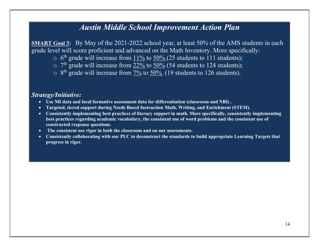### Austin Middle School Improvement Action Plan

SMART Goal 3: By May of the 2021-2022 school year, at least 50% of the AMS students in each grade level will score proficient and advanced on the Math Inventory. More specifically:

- $\circ$  6<sup>th</sup> grade will increase from  $11\%$  to  $50\%$  (25 students to 111 students);
- $\circ$  7<sup>th</sup> grade will increase from  $22\%$  to  $50\%$  (54 students to 124 students);
- $\circ$  8<sup>th</sup> grade will increase from  $\frac{7\%}{6}$  to  $\frac{50\%}{6}$  (19 students to 126 students).

#### Strategy/Initiative:

- Use MI data and local formative assessment data for differentiation (classroom and NBI) .
- Targeted, tiered support during Needs Based Instruction Math, Writing, and Enrichment (STEM).
- Consistently implementing best practices of literacy support in math. More specifically, consistently implementing best practices regarding academic vocabulary, the consistent use of word problems and the consistent use of constructed response questions.
- The consistent use rigor in both the classroom and on our assessments.
- Consistently collaborating with our PLC to deconstruct the standards to build appropriate Learning Targets that progress in rigor.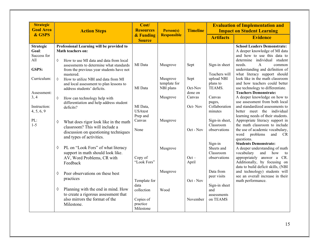| <b>Strategic</b><br><b>Goal Area</b>              | <b>Action Steps</b>                                                                                                                                       | Cost/<br><b>Resources</b>                                | Person(s)                             | <b>Timeline</b>              |                                                    | <b>Evaluation of Implementation and</b><br><b>Impact on Student Learning</b>                                                                                                                            |
|---------------------------------------------------|-----------------------------------------------------------------------------------------------------------------------------------------------------------|----------------------------------------------------------|---------------------------------------|------------------------------|----------------------------------------------------|---------------------------------------------------------------------------------------------------------------------------------------------------------------------------------------------------------|
| & GSPS                                            |                                                                                                                                                           | & Funding<br><b>Source</b>                               | <b>Responsible</b>                    |                              | <b>Artifacts</b>                                   | <b>Evidence</b>                                                                                                                                                                                         |
| <b>Strategic</b><br>Goal:<br>Success for<br>All   | Professional Learning will be provided to<br>Math teachers on:<br>$\Diamond$<br>How to use MI data and data from local                                    |                                                          |                                       |                              |                                                    | <b>School Leaders Demonstrate:</b><br>A deeper knowledge of MI data<br>and how to use this data to<br>determine individual student                                                                      |
| GSPS:                                             | assessments to determine what standards<br>from the previous year students have not<br>mastered.                                                          | MI Data                                                  | Musgrove                              | Sept                         | Sign-in sheet<br>Teachers will                     | needs.<br>$\mathsf{A}$<br>common<br>understanding and definition of<br>what literacy support should                                                                                                     |
| Curriculum:                                       | $\Diamond$<br>How to utilize NBI and data from MI<br>and local assessment to plan lessons to<br>address students' deficits.                               | MI Data                                                  | Musgrove<br>template for<br>NBI plans | Sept<br>Oct-Nov              | upload NBI<br>plans to<br>TEAMS.                   | look like in the math classroom<br>and how teachers could better<br>use technology to differentiate.                                                                                                    |
| Assessment:<br>3, 4<br>Instruction:<br>4, 5, 6, 9 | $\Diamond$<br>How can technology help with<br>differentiation and help address student<br>deficits?                                                       | MI Data,<br><b>USAtest</b>                               | Musgrove                              | done on<br>Canvas<br>Oct-Nov | Canvas<br>pages,<br>Collaboration<br>minutes       | <b>Teachers Demonstrate:</b><br>A deeper knowledge on how to<br>use assessment from both local<br>and standardized assessments to<br>better meet the individual                                         |
| PL:<br>$1 - 5$                                    | What does rigor look like in the math<br>$\Diamond$<br>classroom? This will include a<br>discussion on questioning techniques<br>and types of activities. | Prep and<br>Canvas<br>None                               | Musgrove                              | $Oct - Nov$                  | Sign-in sheet,<br>Classroom<br>observations        | learning needs of their students.<br>Appropriate literacy support in<br>the math classroom to include<br>the use of academic vocabulary,<br>word<br>problems<br>and<br><b>CR</b><br>questions.          |
|                                                   | PL on "Look Fors" of what literacy<br>♦<br>support in math should look like.<br>AV, Word Problems, CR with<br>Feedback                                    | Copy of<br>"Look Fors"                                   | Musgrove                              | $Oct -$<br>April             | Sign-in<br>Sheets and<br>Classroom<br>observations | <b>Students Demonstrate:</b><br>A deeper understanding of math<br>vocabulary<br>and<br>how<br>to<br>appropriately answer a<br>CR.<br>Additionally, by focusing on<br>data to build deficit skills, (NBI |
|                                                   | Peer observations on these best<br>♦<br>practices                                                                                                         | Template for                                             | Musgrove                              | Oct - Nov                    | Data from<br>peer visits                           | and technology) students will<br>see an overall increase in their<br>math performance.                                                                                                                  |
|                                                   | Planning with the end in mind. How<br>♦<br>to create a rigorous assessment that<br>also mirrors the format of the<br>Milestone.                           | data<br>collection<br>Copies of<br>practice<br>Milestone | Wood                                  | November                     | Sign-in sheet<br>and<br>assessments<br>on TEAMS    |                                                                                                                                                                                                         |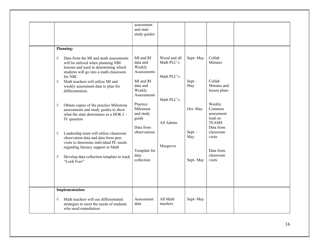|                                                                                                                                                                                                                                                                                                                                                                                                                                                                                                                                                                                                                                                                                | assessment<br>and state<br>study guides                                                                                                                                                                            |                                                                                 |                                                                       |                                                                                                                                                                                                 |  |
|--------------------------------------------------------------------------------------------------------------------------------------------------------------------------------------------------------------------------------------------------------------------------------------------------------------------------------------------------------------------------------------------------------------------------------------------------------------------------------------------------------------------------------------------------------------------------------------------------------------------------------------------------------------------------------|--------------------------------------------------------------------------------------------------------------------------------------------------------------------------------------------------------------------|---------------------------------------------------------------------------------|-----------------------------------------------------------------------|-------------------------------------------------------------------------------------------------------------------------------------------------------------------------------------------------|--|
| Planning:                                                                                                                                                                                                                                                                                                                                                                                                                                                                                                                                                                                                                                                                      |                                                                                                                                                                                                                    |                                                                                 |                                                                       |                                                                                                                                                                                                 |  |
| Data from the MI and math assessments<br>♦<br>will be utilized when planning NBI<br>lessons and used in determining which<br>students will go into a math classroom<br>for NBI.<br>Math teachers will utilize MI and<br>♦<br>weekly assessment data to plan for<br>differentiation.<br>Obtain copies of the practice Milestone<br>♦<br>assessments and study guides to show<br>what the state determines as a DOK I $-$<br>IV question<br>Leadership team will utilize classroom<br>♦<br>observation data and data from peer<br>visits to determine individual PL needs<br>regarding literacy support in Math<br>Develop data collection template to track<br>♦<br>"Look Fors" | MI and RI<br>data and<br>Weekly<br>Assessments<br>MI and RI<br>data and<br>Weekly<br>Assessments<br>Practice<br>Milestone<br>and study<br>guide<br>Data from<br>observations<br>Template for<br>data<br>collection | Wood and all<br>Math PLC's<br>Math PLC's<br>Math PLC's<br>All Admin<br>Musgrove | Sept-May<br>$Sept -$<br>May<br>Oct-May<br>$Sept -$<br>May<br>Sept-May | Collab<br>Minutes<br>Collab<br>Minutes and<br>lesson plans<br>Weekly<br>Common<br>assessment<br>load on<br><b>TEAMS</b><br>Data from<br>classroom<br>visits<br>Data from<br>classroom<br>visits |  |
|                                                                                                                                                                                                                                                                                                                                                                                                                                                                                                                                                                                                                                                                                |                                                                                                                                                                                                                    |                                                                                 |                                                                       |                                                                                                                                                                                                 |  |
| <b>Implementation:</b>                                                                                                                                                                                                                                                                                                                                                                                                                                                                                                                                                                                                                                                         |                                                                                                                                                                                                                    |                                                                                 |                                                                       |                                                                                                                                                                                                 |  |
| Math teachers will use differentiated<br>♦<br>strategies to meet the needs of students<br>who need remediation.                                                                                                                                                                                                                                                                                                                                                                                                                                                                                                                                                                | Assessment<br>data                                                                                                                                                                                                 | All Math<br>teachers                                                            | Sept-May                                                              |                                                                                                                                                                                                 |  |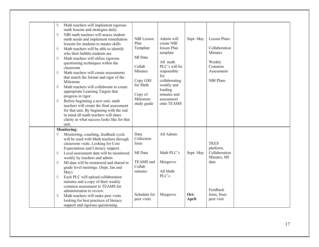| Math teachers will implement rigorous<br>♦<br>math lessons and strategies daily.<br>NBI math teachers will assess student<br>♦<br>math needs and implement remediation<br>lessons for students to master skills<br>Math teachers will be able to identify<br>♦<br>who their bubble students are.<br>Math teachers will utilize rigorous<br>♦<br>questioning techniques within the<br>classroom<br>Math teachers will create assessments<br>♦<br>that match the format and rigor of the<br>Milestone<br>Math teachers will collaborate to create<br>♦<br>appropriate Learning Targets that<br>progress in rigor.<br>Before beginning a new unit, math<br>♦<br>teachers will create the final assessment<br>for that unit. By beginning with the end<br>in mind all math teachers will share<br>clarity in what success looks like for that<br>unit. | <b>NBI</b> Lesson<br>Plan<br>Template<br>MI Data<br>Collab<br>Minutes<br>Copy GSE<br>for Math<br>Copy of<br>Milestone<br>study guide | Admin will<br>create NBI<br>lesson Plan<br>template<br>All math<br>PLC's will be<br>responsible<br>for<br>collaborating<br>weekly and<br>loading<br>minutes and<br>assessment<br>onto TEAMS | Sept-May                         | <b>Lesson Plans</b><br>Collaboration<br>Minutes<br>Weekly<br>Common<br>Assessment<br><b>NBI Plans</b>    |  |
|----------------------------------------------------------------------------------------------------------------------------------------------------------------------------------------------------------------------------------------------------------------------------------------------------------------------------------------------------------------------------------------------------------------------------------------------------------------------------------------------------------------------------------------------------------------------------------------------------------------------------------------------------------------------------------------------------------------------------------------------------------------------------------------------------------------------------------------------------|--------------------------------------------------------------------------------------------------------------------------------------|---------------------------------------------------------------------------------------------------------------------------------------------------------------------------------------------|----------------------------------|----------------------------------------------------------------------------------------------------------|--|
| <b>Monitoring:</b>                                                                                                                                                                                                                                                                                                                                                                                                                                                                                                                                                                                                                                                                                                                                                                                                                                 |                                                                                                                                      |                                                                                                                                                                                             |                                  |                                                                                                          |  |
| Monitoring, coaching, feedback cycle<br>♦<br>will be used with Math teachers through<br>classroom visits. Looking for Core<br>Expectations and Literacy support.<br>Local assessment data will be monitored<br>♦<br>weekly by teachers and admin<br>MI data will be monitored and shared in<br>♦<br>grade level meetings. (Sept, Jan and<br>May)<br>Each PLC will upload collaboration<br>♦<br>minutes and a copy of their weekly<br>common assessment to TEAMS for<br>administration to review.<br>Math teachers will make peer visits<br>♦<br>looking for best practices of literacy<br>support and rigorous questioning.                                                                                                                                                                                                                        | Data<br>Collection<br>form<br>MI Data<br>TEAMS and<br>Collab<br>minutes<br>Schedule for<br>peer visits                               | All Admin<br>Math PLC's<br>Musgrove<br>All Math<br>PLC'c<br>Musgrove                                                                                                                        | Sept-May<br>Oct-<br><b>April</b> | <b>TKES</b><br>platform,<br>Collaboration<br>Minutes, MI<br>data<br>Feedback<br>form, from<br>peer visit |  |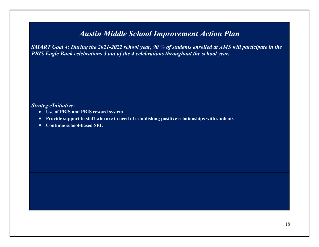## Austin Middle School Improvement Action Plan

SMART Goal 4: During the 2021-2022 school year, 90 % of students enrolled at AMS will participate in the PBIS Eagle Buck celebrations 3 out of the 4 celebrations throughout the school year.

#### Strategy/Initiative:

- Use of PBIS and PBIS reward system
- Provide support to staff who are in need of establishing positive relationships with students
- Continue school-based SEL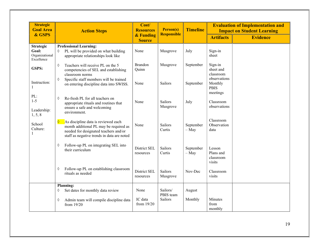| <b>Strategic</b><br><b>Goal Area</b>                      | <b>Action Steps</b>                                                                                                                                                                | Cost/<br><b>Resources</b>  | Person(s)                  | <b>Timeline</b>      | <b>Evaluation of Implementation and</b><br><b>Impact on Student Learning</b> |                 |  |
|-----------------------------------------------------------|------------------------------------------------------------------------------------------------------------------------------------------------------------------------------------|----------------------------|----------------------------|----------------------|------------------------------------------------------------------------------|-----------------|--|
| & GSPS                                                    |                                                                                                                                                                                    | & Funding<br><b>Source</b> | <b>Responsible</b>         |                      | <b>Artifacts</b>                                                             | <b>Evidence</b> |  |
| <b>Strategic</b><br>Goal:<br>Organizational<br>Excellence | <b>Professional Learning:</b><br>PL will be provided on what building<br>♦<br>appropriate relationships look like                                                                  | None                       | Musgrove                   | July                 | Sign-in<br>sheet                                                             |                 |  |
| GSPS:                                                     | Teachers will receive PL on the 5<br>♦<br>competencies of SEL and establishing<br>classroom norms                                                                                  | <b>Brandon</b><br>Quinn    | Musgrove                   | September            | Sign-in<br>sheet and<br>classroom                                            |                 |  |
| Instruction:<br>1                                         | Specific staff members will be trained<br>♦<br>on entering discipline data into SWISS.                                                                                             | None                       | Sailors                    | September            | observations<br>Monthly<br><b>PBIS</b><br>meetings                           |                 |  |
| PL:<br>$1 - 5$<br>Leadership:<br>1, 5, 8                  | Re-fresh PL for all teachers on<br>♦<br>appropriate rituals and routines that<br>ensure a safe and welcoming<br>environment.                                                       | None                       | <b>Sailors</b><br>Musgrove | July                 | Classroom<br>observations                                                    |                 |  |
| School<br>Culture:<br>$\mathbf{1}$                        | As discipline data is reviewed each<br>$\Diamond$<br>month additional PL may be required as<br>needed for designated teachers and/or<br>staff as negative trends in data are noted | None                       | Sailors<br>Curtis          | September<br>$-$ May | Classroom<br>Observation<br>data                                             |                 |  |
|                                                           | Follow-up PL on integrating SEL into<br>♦<br>their curriculum                                                                                                                      | District SEL<br>resources  | Sailors<br>Curtis          | September<br>$-$ May | Lesson<br>Plans and<br>classroom<br>visits                                   |                 |  |
|                                                           | Follow-up PL on establishing classroom<br>♦<br>rituals as needed                                                                                                                   | District SEL<br>resources  | Sailors<br>Musgrove        | Nov-Dec              | Classroom<br>visits                                                          |                 |  |
|                                                           | <b>Planning:</b><br>Set dates for monthly data review<br>♦                                                                                                                         | None                       | Sailors/                   | August               |                                                                              |                 |  |
|                                                           | ♦<br>Admin team will compile discipline data<br>from 19/20                                                                                                                         | IC data<br>from 19/20      | PBIS team<br>Sailors       | Monthly              | Minutes<br>from<br>monthly                                                   |                 |  |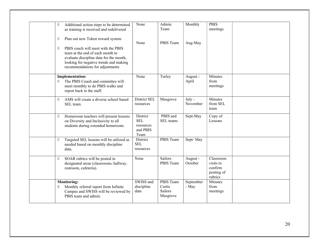| Additional action steps to be determined<br>♦<br>as training is received and redelivered                                                                                                            | None                                                    | Admin<br>Team                              | Monthly             | <b>PBIS</b><br>meetings                                    |  |
|-----------------------------------------------------------------------------------------------------------------------------------------------------------------------------------------------------|---------------------------------------------------------|--------------------------------------------|---------------------|------------------------------------------------------------|--|
| Plan out new Token reward system<br>♦                                                                                                                                                               | None                                                    | PBIS Team                                  | Aug-May             |                                                            |  |
| PBIS coach will meet with the PBIS<br>♦<br>team at the end of each month to<br>evaluate discipline data for the month,<br>looking for negative trends and making<br>recommendations for adjustments |                                                         |                                            |                     |                                                            |  |
| <b>Implementation:</b><br>The PBIS Coach and committee will<br>♦<br>meet monthly to do PBIS walks and<br>report back to the staff.                                                                  | None                                                    | Turley                                     | August -<br>April   | Minutes<br>from<br>meetings                                |  |
| AMS will create a diverse school based<br>$\Diamond$<br>SEL team.                                                                                                                                   | District SEL<br>resources                               | Musgrove                                   | July -<br>November  | Minutes<br>from SEL<br>team                                |  |
| Homeroom teachers will present lessons<br>♦<br>on Diversity and Inclusivity to all<br>students during extended homeroom.                                                                            | District<br><b>SEL</b><br>resources<br>and PBIS<br>Team | PBIS and<br>SEL teams                      | Sept-May            | Copy of<br>Lessons                                         |  |
| Targeted SEL lessons will be utilized as<br>♦<br>needed based on monthly discipline<br>data.                                                                                                        | District<br><b>SEL</b><br>resources                     | PBIS Team                                  | Sept-May            |                                                            |  |
| SOAR rubrics will be posted in<br>♦<br>designated areas (classrooms, hallway,<br>restroom, cafeteria).                                                                                              | None                                                    | Sailors<br>PBIS Team                       | August -<br>October | Classroom<br>visits to<br>confirm<br>posting of<br>rubrics |  |
| <b>Monitoring:</b><br>Monthly referral report from Infinite<br>♦<br>Campus and SWISS will be reviewed by<br>PBIS team and admin.                                                                    | SWISS and<br>discipline<br>data                         | PBIS Team<br>Curtis<br>Sailors<br>Musgrove | September<br>- May  | Minutes<br>from<br>meetings                                |  |